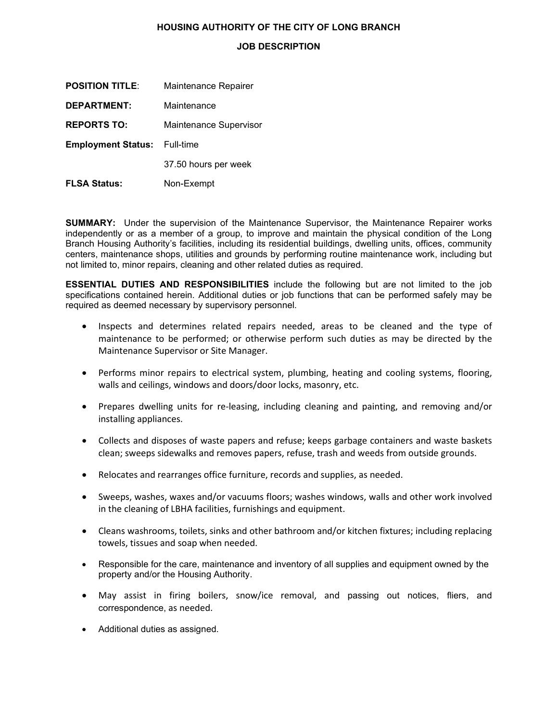## **HOUSING AUTHORITY OF THE CITY OF LONG BRANCH**

## **JOB DESCRIPTION**

| <b>POSITION TITLE:</b>    | Maintenance Repairer   |
|---------------------------|------------------------|
| <b>DEPARTMENT:</b>        | Maintenance            |
| <b>REPORTS TO:</b>        | Maintenance Supervisor |
| <b>Employment Status:</b> | Full-time              |
|                           | 37.50 hours per week   |
| <b>FLSA Status:</b>       | Non-Exempt             |

**SUMMARY:** Under the supervision of the Maintenance Supervisor, the Maintenance Repairer works independently or as a member of a group, to improve and maintain the physical condition of the Long Branch Housing Authority's facilities, including its residential buildings, dwelling units, offices, community centers, maintenance shops, utilities and grounds by performing routine maintenance work, including but not limited to, minor repairs, cleaning and other related duties as required.

**ESSENTIAL DUTIES AND RESPONSIBILITIES** include the following but are not limited to the job specifications contained herein. Additional duties or job functions that can be performed safely may be required as deemed necessary by supervisory personnel.

- Inspects and determines related repairs needed, areas to be cleaned and the type of maintenance to be performed; or otherwise perform such duties as may be directed by the Maintenance Supervisor or Site Manager.
- Performs minor repairs to electrical system, plumbing, heating and cooling systems, flooring, walls and ceilings, windows and doors/door locks, masonry, etc.
- Prepares dwelling units for re-leasing, including cleaning and painting, and removing and/or installing appliances.
- Collects and disposes of waste papers and refuse; keeps garbage containers and waste baskets clean; sweeps sidewalks and removes papers, refuse, trash and weeds from outside grounds.
- Relocates and rearranges office furniture, records and supplies, as needed.
- Sweeps, washes, waxes and/or vacuums floors; washes windows, walls and other work involved in the cleaning of LBHA facilities, furnishings and equipment.
- Cleans washrooms, toilets, sinks and other bathroom and/or kitchen fixtures; including replacing towels, tissues and soap when needed.
- Responsible for the care, maintenance and inventory of all supplies and equipment owned by the property and/or the Housing Authority.
- May assist in firing boilers, snow/ice removal, and passing out notices, fliers, and correspondence, as needed.
- Additional duties as assigned.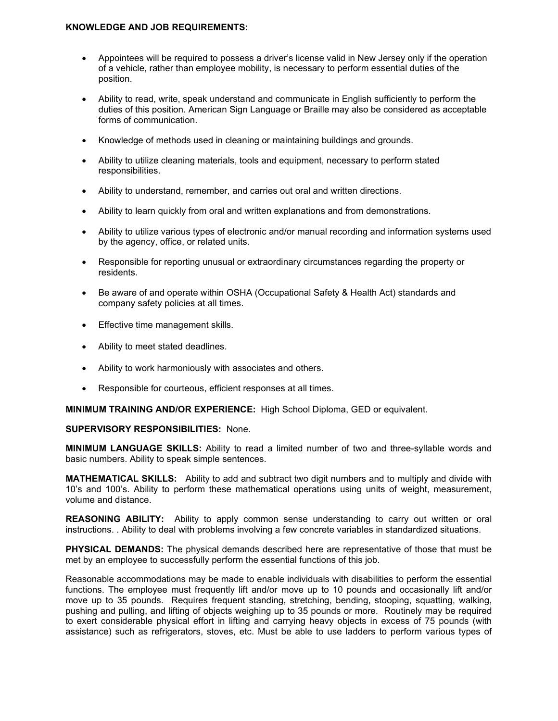## **KNOWLEDGE AND JOB REQUIREMENTS:**

- Appointees will be required to possess a driver's license valid in New Jersey only if the operation of a vehicle, rather than employee mobility, is necessary to perform essential duties of the position.
- Ability to read, write, speak understand and communicate in English sufficiently to perform the duties of this position. American Sign Language or Braille may also be considered as acceptable forms of communication.
- Knowledge of methods used in cleaning or maintaining buildings and grounds.
- Ability to utilize cleaning materials, tools and equipment, necessary to perform stated responsibilities.
- Ability to understand, remember, and carries out oral and written directions.
- Ability to learn quickly from oral and written explanations and from demonstrations.
- Ability to utilize various types of electronic and/or manual recording and information systems used by the agency, office, or related units.
- Responsible for reporting unusual or extraordinary circumstances regarding the property or residents.
- Be aware of and operate within OSHA (Occupational Safety & Health Act) standards and company safety policies at all times.
- Effective time management skills.
- Ability to meet stated deadlines.
- Ability to work harmoniously with associates and others.
- Responsible for courteous, efficient responses at all times.

**MINIMUM TRAINING AND/OR EXPERIENCE:** High School Diploma, GED or equivalent.

## **SUPERVISORY RESPONSIBILITIES:** None.

**MINIMUM LANGUAGE SKILLS:** Ability to read a limited number of two and three-syllable words and basic numbers. Ability to speak simple sentences.

**MATHEMATICAL SKILLS:** Ability to add and subtract two digit numbers and to multiply and divide with 10's and 100's. Ability to perform these mathematical operations using units of weight, measurement, volume and distance.

**REASONING ABILITY:** Ability to apply common sense understanding to carry out written or oral instructions. . Ability to deal with problems involving a few concrete variables in standardized situations.

**PHYSICAL DEMANDS:** The physical demands described here are representative of those that must be met by an employee to successfully perform the essential functions of this job.

Reasonable accommodations may be made to enable individuals with disabilities to perform the essential functions. The employee must frequently lift and/or move up to 10 pounds and occasionally lift and/or move up to 35 pounds. Requires frequent standing, stretching, bending, stooping, squatting, walking, pushing and pulling, and lifting of objects weighing up to 35 pounds or more. Routinely may be required to exert considerable physical effort in lifting and carrying heavy objects in excess of 75 pounds (with assistance) such as refrigerators, stoves, etc. Must be able to use ladders to perform various types of